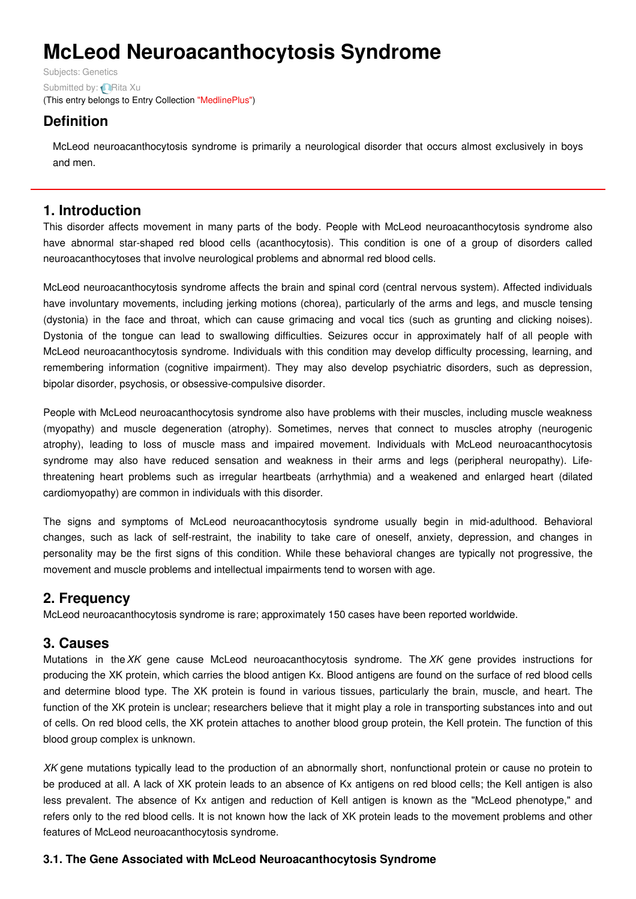# **McLeod Neuroacanthocytosis Syndrome**

Subjects: [Genetics](https://encyclopedia.pub/item/subject/56) Submitted by: **[Rita](https://sciprofiles.com/profile/915637) Xu** (This entry belongs to Entry Collection ["MedlinePlus"](https://encyclopedia.pub/entry/collection/24))

## **Definition**

McLeod neuroacanthocytosis syndrome is primarily a neurological disorder that occurs almost exclusively in boys and men.

## **1. Introduction**

This disorder affects movement in many parts of the body. People with McLeod neuroacanthocytosis syndrome also have abnormal star-shaped red blood cells (acanthocytosis). This condition is one of a group of disorders called neuroacanthocytoses that involve neurological problems and abnormal red blood cells.

McLeod neuroacanthocytosis syndrome affects the brain and spinal cord (central nervous system). Affected individuals have involuntary movements, including jerking motions (chorea), particularly of the arms and legs, and muscle tensing (dystonia) in the face and throat, which can cause grimacing and vocal tics (such as grunting and clicking noises). Dystonia of the tongue can lead to swallowing difficulties. Seizures occur in approximately half of all people with McLeod neuroacanthocytosis syndrome. Individuals with this condition may develop difficulty processing, learning, and remembering information (cognitive impairment). They may also develop psychiatric disorders, such as depression, bipolar disorder, psychosis, or obsessive-compulsive disorder.

People with McLeod neuroacanthocytosis syndrome also have problems with their muscles, including muscle weakness (myopathy) and muscle degeneration (atrophy). Sometimes, nerves that connect to muscles atrophy (neurogenic atrophy), leading to loss of muscle mass and impaired movement. Individuals with McLeod neuroacanthocytosis syndrome may also have reduced sensation and weakness in their arms and legs (peripheral neuropathy). Lifethreatening heart problems such as irregular heartbeats (arrhythmia) and a weakened and enlarged heart (dilated cardiomyopathy) are common in individuals with this disorder.

The signs and symptoms of McLeod neuroacanthocytosis syndrome usually begin in mid-adulthood. Behavioral changes, such as lack of self-restraint, the inability to take care of oneself, anxiety, depression, and changes in personality may be the first signs of this condition. While these behavioral changes are typically not progressive, the movement and muscle problems and intellectual impairments tend to worsen with age.

## **2. Frequency**

McLeod neuroacanthocytosis syndrome is rare; approximately 150 cases have been reported worldwide.

## **3. Causes**

Mutations in the*XK* gene cause McLeod neuroacanthocytosis syndrome. The *XK* gene provides instructions for producing the XK protein, which carries the blood antigen Kx. Blood antigens are found on the surface of red blood cells and determine blood type. The XK protein is found in various tissues, particularly the brain, muscle, and heart. The function of the XK protein is unclear; researchers believe that it might play a role in transporting substances into and out of cells. On red blood cells, the XK protein attaches to another blood group protein, the Kell protein. The function of this blood group complex is unknown.

*XK* gene mutations typically lead to the production of an abnormally short, nonfunctional protein or cause no protein to be produced at all. A lack of XK protein leads to an absence of Kx antigens on red blood cells; the Kell antigen is also less prevalent. The absence of Kx antigen and reduction of Kell antigen is known as the "McLeod phenotype," and refers only to the red blood cells. It is not known how the lack of XK protein leads to the movement problems and other features of McLeod neuroacanthocytosis syndrome.

#### **3.1. The Gene Associated with McLeod Neuroacanthocytosis Syndrome**